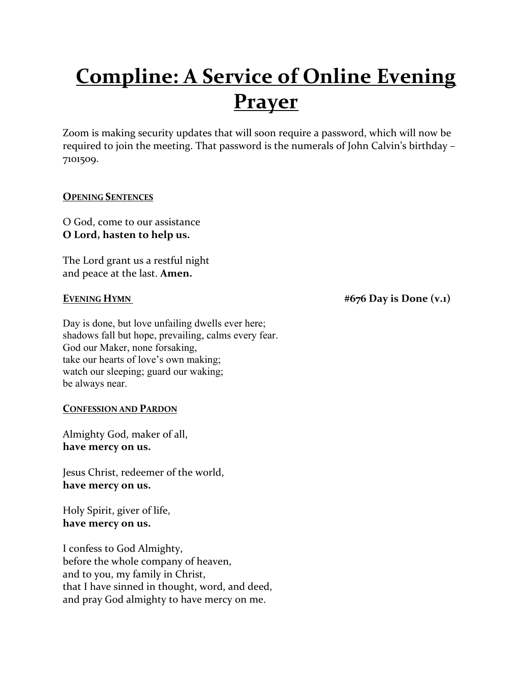# **Compline: A Service of Online Evening Prayer**

Zoom is making security updates that will soon require a password, which will now be required to join the meeting. That password is the numerals of John Calvin's birthday – 7101509.

# **OPENING SENTENCES**

O God, come to our assistance **O Lord, hasten to help us.** 

The Lord grant us a restful night and peace at the last. **Amen.**

Day is done, but love unfailing dwells ever here; shadows fall but hope, prevailing, calms every fear. God our Maker, none forsaking, take our hearts of love's own making; watch our sleeping; guard our waking; be always near.

### **CONFESSION AND PARDON**

Almighty God, maker of all, **have mercy on us.**

Jesus Christ, redeemer of the world, **have mercy on us.** 

Holy Spirit, giver of life, **have mercy on us.** 

I confess to God Almighty, before the whole company of heaven, and to you, my family in Christ, that I have sinned in thought, word, and deed, and pray God almighty to have mercy on me.

**EVENING HYMN**  $#676$  Day is Done  $(v.1)$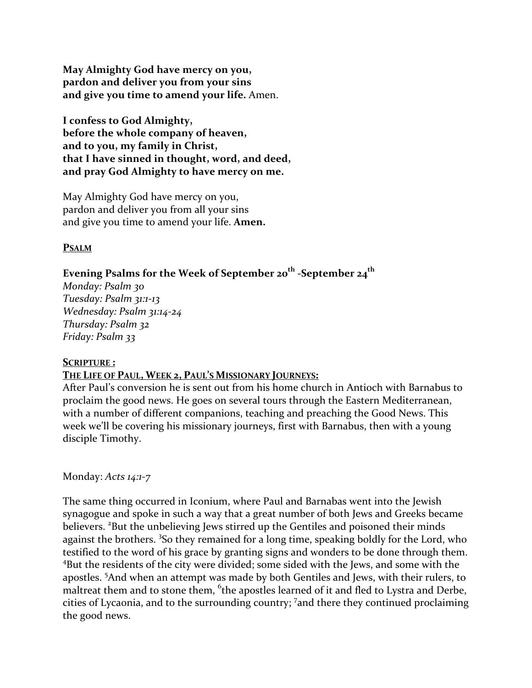**May Almighty God have mercy on you, pardon and deliver you from your sins and give you time to amend your life.** Amen.

**I confess to God Almighty, before the whole company of heaven, and to you, my family in Christ, that I have sinned in thought, word, and deed, and pray God Almighty to have mercy on me.** 

May Almighty God have mercy on you, pardon and deliver you from all your sins and give you time to amend your life. **Amen.** 

### **PSALM**

# **Evening Psalms for the Week of September 20th -September 24th**

*Monday: Psalm 30 Tuesday: Psalm 31:1-13 Wednesday: Psalm 31:14-24 Thursday: Psalm 32 Friday: Psalm 33*

#### **SCRIPTURE :**

#### **THE LIFE OF PAUL, WEEK 2, PAUL'S MISSIONARY JOURNEYS:**

After Paul's conversion he is sent out from his home church in Antioch with Barnabus to proclaim the good news. He goes on several tours through the Eastern Mediterranean, with a number of different companions, teaching and preaching the Good News. This week we'll be covering his missionary journeys, first with Barnabus, then with a young disciple Timothy.

#### Monday: *Acts 14:1-7*

The same thing occurred in Iconium, where Paul and Barnabas went into the Jewish synagogue and spoke in such a way that a great number of both Jews and Greeks became believers. <sup>2</sup>But the unbelieving Jews stirred up the Gentiles and poisoned their minds against the brothers. <sup>3</sup>So they remained for a long time, speaking boldly for the Lord, who testified to the word of his grace by granting signs and wonders to be done through them. <sup>4</sup>But the residents of the city were divided; some sided with the Jews, and some with the apostles. <sup>5</sup>And when an attempt was made by both Gentiles and Jews, with their rulers, to maltreat them and to stone them, <sup>6</sup>the apostles learned of it and fled to Lystra and Derbe, cities of Lycaonia, and to the surrounding country; <sup>7</sup> and there they continued proclaiming the good news.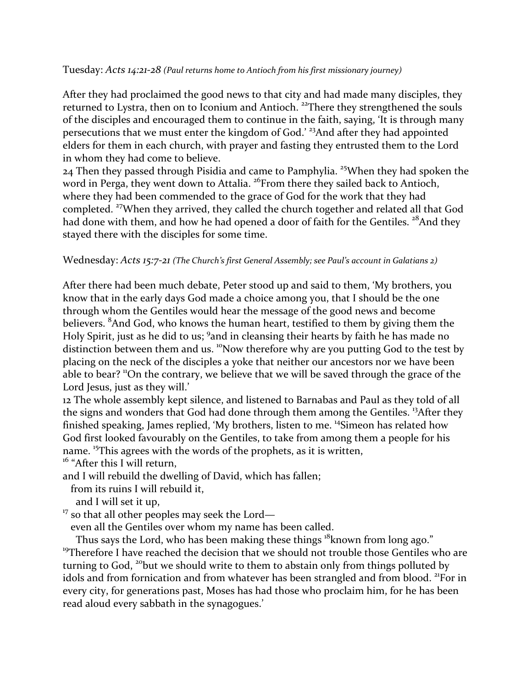#### Tuesday: *Acts 14:21-28 (Paul returns home to Antioch from his first missionary journey)*

After they had proclaimed the good news to that city and had made many disciples, they returned to Lystra, then on to Iconium and Antioch.<sup>22</sup>There they strengthened the souls of the disciples and encouraged them to continue in the faith, saying, 'It is through many persecutions that we must enter the kingdom of God.' <sup>23</sup>And after they had appointed elders for them in each church, with prayer and fasting they entrusted them to the Lord in whom they had come to believe.

24 Then they passed through Pisidia and came to Pamphylia. <sup>25</sup>When they had spoken the word in Perga, they went down to Attalia.<sup>26</sup>From there they sailed back to Antioch, where they had been commended to the grace of God for the work that they had completed. <sup>27</sup>When they arrived, they called the church together and related all that God had done with them, and how he had opened a door of faith for the Gentiles. <sup>28</sup>And they stayed there with the disciples for some time.

### Wednesday: *Acts 15:7-21 (The Church's first General Assembly; see Paul's account in Galatians 2)*

After there had been much debate, Peter stood up and said to them, 'My brothers, you know that in the early days God made a choice among you, that I should be the one through whom the Gentiles would hear the message of the good news and become believers. <sup>8</sup>And God, who knows the human heart, testified to them by giving them the Holy Spirit, just as he did to us; <sup>9</sup>and in cleansing their hearts by faith he has made no distinction between them and us. <sup>10</sup>Now therefore why are you putting God to the test by placing on the neck of the disciples a yoke that neither our ancestors nor we have been able to bear? "On the contrary, we believe that we will be saved through the grace of the Lord Jesus, just as they will.'

12 The whole assembly kept silence, and listened to Barnabas and Paul as they told of all the signs and wonders that God had done through them among the Gentiles. <sup>13</sup>After they finished speaking, James replied, 'My brothers, listen to me. 14Simeon has related how God first looked favourably on the Gentiles, to take from among them a people for his name. <sup>15</sup>This agrees with the words of the prophets, as it is written,

<sup>16</sup> "After this I will return,

and I will rebuild the dwelling of David, which has fallen;

from its ruins I will rebuild it,

- and I will set it up,
- $17$  so that all other peoples may seek the Lord—

even all the Gentiles over whom my name has been called.

Thus says the Lord, who has been making these things <sup>18</sup>known from long ago." <sup>19</sup>Therefore I have reached the decision that we should not trouble those Gentiles who are turning to God, <sup>20</sup>but we should write to them to abstain only from things polluted by idols and from fornication and from whatever has been strangled and from blood. <sup>21</sup>For in every city, for generations past, Moses has had those who proclaim him, for he has been read aloud every sabbath in the synagogues.'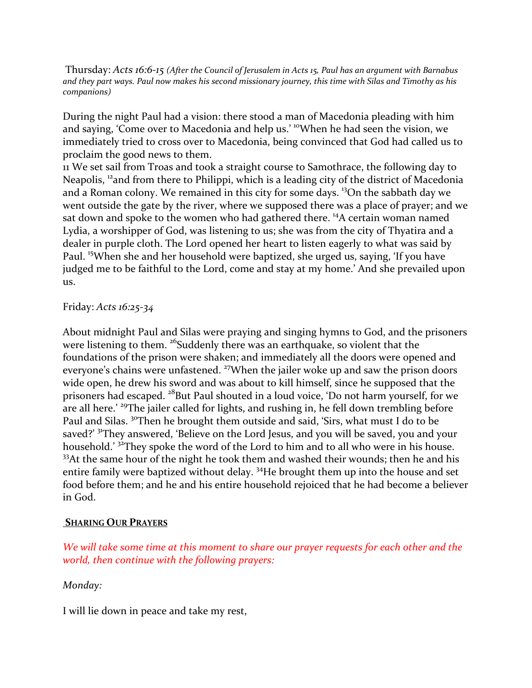Thursday: *Acts 16:6-15 (After the Council of Jerusalem in Acts 15, Paul has an argument with Barnabus and they part ways. Paul now makes his second missionary journey, this time with Silas and Timothy as his companions)*

During the night Paul had a vision: there stood a man of Macedonia pleading with him and saying, 'Come over to Macedonia and help us.' <sup>10</sup>When he had seen the vision, we immediately tried to cross over to Macedonia, being convinced that God had called us to proclaim the good news to them.

11 We set sail from Troas and took a straight course to Samothrace, the following day to Neapolis, <sup>12</sup> and from there to Philippi, which is a leading city of the district of Macedonia and a Roman colony. We remained in this city for some days. <sup>13</sup>On the sabbath day we went outside the gate by the river, where we supposed there was a place of prayer; and we sat down and spoke to the women who had gathered there. <sup>14</sup>A certain woman named Lydia, a worshipper of God, was listening to us; she was from the city of Thyatira and a dealer in purple cloth. The Lord opened her heart to listen eagerly to what was said by Paul. 15When she and her household were baptized, she urged us, saying, 'If you have judged me to be faithful to the Lord, come and stay at my home.' And she prevailed upon us.

#### Friday: *Acts 16:25-34*

About midnight Paul and Silas were praying and singing hymns to God, and the prisoners were listening to them. <sup>26</sup>Suddenly there was an earthquake, so violent that the foundations of the prison were shaken; and immediately all the doors were opened and everyone's chains were unfastened. <sup>27</sup>When the jailer woke up and saw the prison doors wide open, he drew his sword and was about to kill himself, since he supposed that the prisoners had escaped. <sup>28</sup>But Paul shouted in a loud voice, 'Do not harm yourself, for we are all here.' <sup>29</sup>The jailer called for lights, and rushing in, he fell down trembling before Paul and Silas. <sup>30</sup>Then he brought them outside and said, 'Sirs, what must I do to be saved?' <sup>31</sup>They answered, 'Believe on the Lord Jesus, and you will be saved, you and your household.' <sup>32</sup>They spoke the word of the Lord to him and to all who were in his house. <sup>33</sup>At the same hour of the night he took them and washed their wounds; then he and his entire family were baptized without delay. 34He brought them up into the house and set food before them; and he and his entire household rejoiced that he had become a believer in God.

#### **SHARING OUR PRAYERS**

*We will take some time at this moment to share our prayer requests for each other and the world, then continue with the following prayers:*

### *Monday:*

I will lie down in peace and take my rest,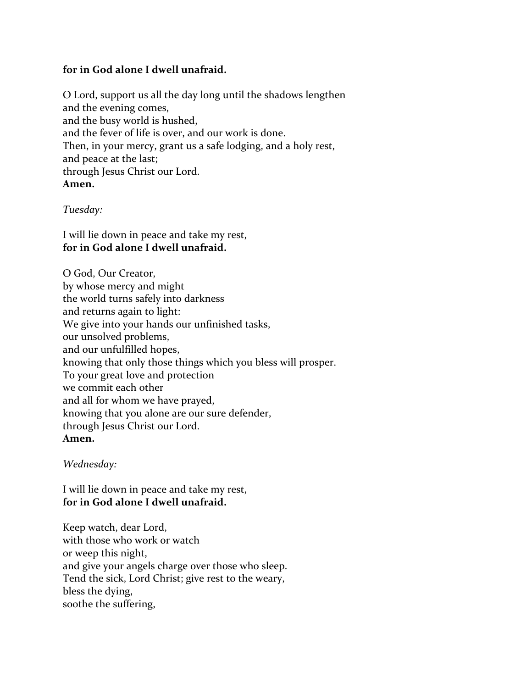# **for in God alone I dwell unafraid.**

O Lord, support us all the day long until the shadows lengthen and the evening comes, and the busy world is hushed, and the fever of life is over, and our work is done. Then, in your mercy, grant us a safe lodging, and a holy rest, and peace at the last; through Jesus Christ our Lord. **Amen.** 

*Tuesday:*

I will lie down in peace and take my rest, **for in God alone I dwell unafraid.** 

O God, Our Creator, by whose mercy and might the world turns safely into darkness and returns again to light: We give into your hands our unfinished tasks, our unsolved problems, and our unfulfilled hopes, knowing that only those things which you bless will prosper. To your great love and protection we commit each other and all for whom we have prayed, knowing that you alone are our sure defender, through Jesus Christ our Lord. **Amen.** 

# *Wednesday:*

I will lie down in peace and take my rest, **for in God alone I dwell unafraid.** 

Keep watch, dear Lord, with those who work or watch or weep this night, and give your angels charge over those who sleep. Tend the sick, Lord Christ; give rest to the weary, bless the dying, soothe the suffering,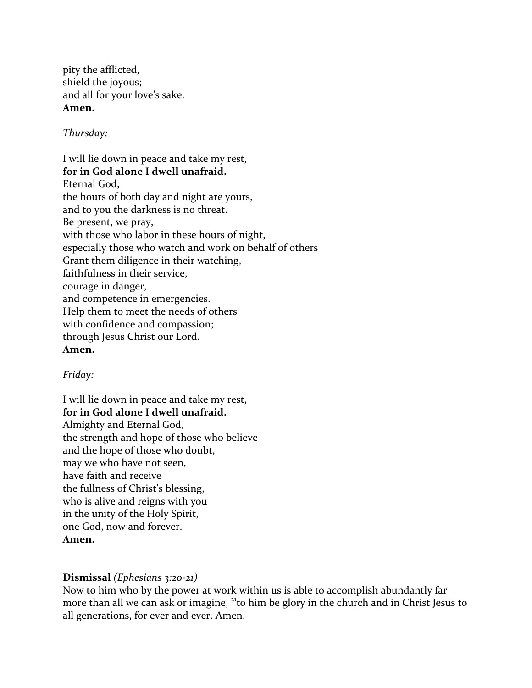pity the afflicted, shield the joyous; and all for your love's sake. **Amen.** 

*Thursday:*

I will lie down in peace and take my rest, **for in God alone I dwell unafraid.**  Eternal God, the hours of both day and night are yours, and to you the darkness is no threat. Be present, we pray, with those who labor in these hours of night, especially those who watch and work on behalf of others Grant them diligence in their watching, faithfulness in their service, courage in danger, and competence in emergencies. Help them to meet the needs of others with confidence and compassion; through Jesus Christ our Lord. **Amen.** 

*Friday:*

I will lie down in peace and take my rest, **for in God alone I dwell unafraid.**  Almighty and Eternal God, the strength and hope of those who believe and the hope of those who doubt, may we who have not seen, have faith and receive the fullness of Christ's blessing, who is alive and reigns with you in the unity of the Holy Spirit, one God, now and forever. **Amen.** 

# **Dismissal** *(Ephesians 3:20-21)*

Now to him who by the power at work within us is able to accomplish abundantly far more than all we can ask or imagine, <sup>21</sup>to him be glory in the church and in Christ Jesus to all generations, for ever and ever. Amen.